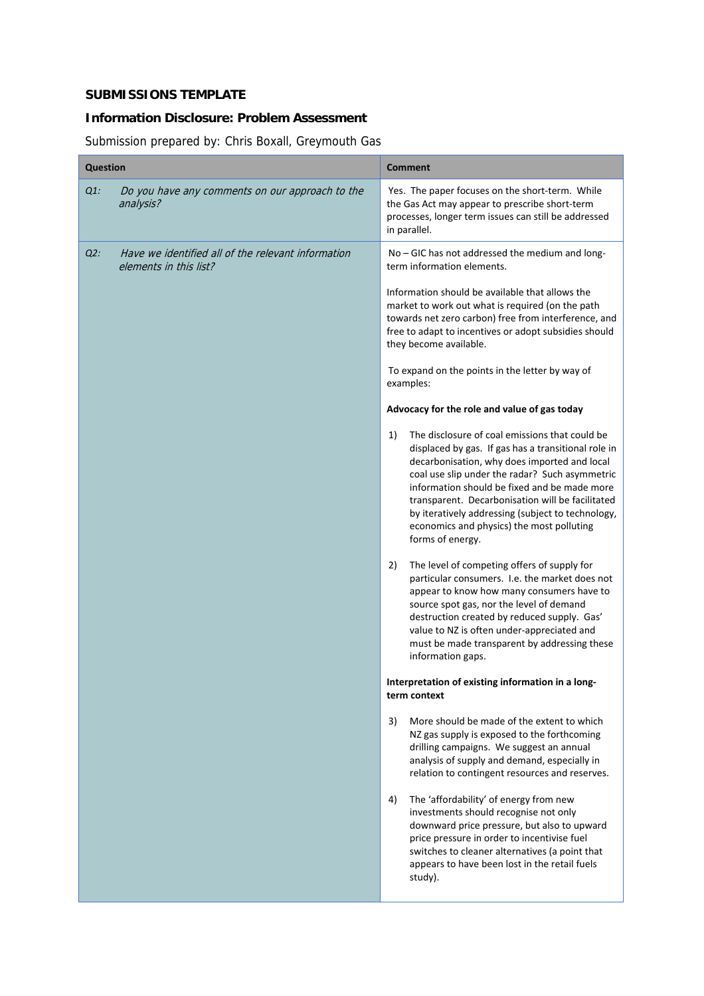## **SUBMISSIONS TEMPLATE**

## **Information Disclosure: Problem Assessment**

Submission prepared by: Chris Boxall, Greymouth Gas

| $Q1$ :<br>Yes. The paper focuses on the short-term. While<br>Do you have any comments on our approach to the<br>the Gas Act may appear to prescribe short-term<br>analysis?<br>processes, longer term issues can still be addressed<br>in parallel.<br>Have we identified all of the relevant information<br>$Q2$ :<br>No - GIC has not addressed the medium and long-<br>elements in this list?<br>term information elements.<br>Information should be available that allows the<br>market to work out what is required (on the path<br>towards net zero carbon) free from interference, and<br>free to adapt to incentives or adopt subsidies should<br>they become available.<br>To expand on the points in the letter by way of<br>examples:<br>Advocacy for the role and value of gas today<br>The disclosure of coal emissions that could be<br>1)<br>displaced by gas. If gas has a transitional role in<br>decarbonisation, why does imported and local<br>coal use slip under the radar? Such asymmetric<br>information should be fixed and be made more<br>transparent. Decarbonisation will be facilitated<br>by iteratively addressing (subject to technology,<br>economics and physics) the most polluting<br>forms of energy.<br>The level of competing offers of supply for<br>2)<br>particular consumers. I.e. the market does not<br>appear to know how many consumers have to<br>source spot gas, nor the level of demand<br>destruction created by reduced supply. Gas'<br>value to NZ is often under-appreciated and<br>must be made transparent by addressing these<br>information gaps.<br>Interpretation of existing information in a long-<br>term context<br>3)<br>More should be made of the extent to which<br>NZ gas supply is exposed to the forthcoming<br>drilling campaigns. We suggest an annual<br>analysis of supply and demand, especially in<br>relation to contingent resources and reserves.<br>4)<br>The 'affordability' of energy from new<br>investments should recognise not only<br>downward price pressure, but also to upward<br>price pressure in order to incentivise fuel<br>switches to cleaner alternatives (a point that<br>appears to have been lost in the retail fuels<br>study). | <b>Question</b> |  | <b>Comment</b> |
|------------------------------------------------------------------------------------------------------------------------------------------------------------------------------------------------------------------------------------------------------------------------------------------------------------------------------------------------------------------------------------------------------------------------------------------------------------------------------------------------------------------------------------------------------------------------------------------------------------------------------------------------------------------------------------------------------------------------------------------------------------------------------------------------------------------------------------------------------------------------------------------------------------------------------------------------------------------------------------------------------------------------------------------------------------------------------------------------------------------------------------------------------------------------------------------------------------------------------------------------------------------------------------------------------------------------------------------------------------------------------------------------------------------------------------------------------------------------------------------------------------------------------------------------------------------------------------------------------------------------------------------------------------------------------------------------------------------------------------------------------------------------------------------------------------------------------------------------------------------------------------------------------------------------------------------------------------------------------------------------------------------------------------------------------------------------------------------------------------------------------------------------------------------------------------------------------------------------------------------|-----------------|--|----------------|
|                                                                                                                                                                                                                                                                                                                                                                                                                                                                                                                                                                                                                                                                                                                                                                                                                                                                                                                                                                                                                                                                                                                                                                                                                                                                                                                                                                                                                                                                                                                                                                                                                                                                                                                                                                                                                                                                                                                                                                                                                                                                                                                                                                                                                                          |                 |  |                |
|                                                                                                                                                                                                                                                                                                                                                                                                                                                                                                                                                                                                                                                                                                                                                                                                                                                                                                                                                                                                                                                                                                                                                                                                                                                                                                                                                                                                                                                                                                                                                                                                                                                                                                                                                                                                                                                                                                                                                                                                                                                                                                                                                                                                                                          |                 |  |                |
|                                                                                                                                                                                                                                                                                                                                                                                                                                                                                                                                                                                                                                                                                                                                                                                                                                                                                                                                                                                                                                                                                                                                                                                                                                                                                                                                                                                                                                                                                                                                                                                                                                                                                                                                                                                                                                                                                                                                                                                                                                                                                                                                                                                                                                          |                 |  |                |
|                                                                                                                                                                                                                                                                                                                                                                                                                                                                                                                                                                                                                                                                                                                                                                                                                                                                                                                                                                                                                                                                                                                                                                                                                                                                                                                                                                                                                                                                                                                                                                                                                                                                                                                                                                                                                                                                                                                                                                                                                                                                                                                                                                                                                                          |                 |  |                |
|                                                                                                                                                                                                                                                                                                                                                                                                                                                                                                                                                                                                                                                                                                                                                                                                                                                                                                                                                                                                                                                                                                                                                                                                                                                                                                                                                                                                                                                                                                                                                                                                                                                                                                                                                                                                                                                                                                                                                                                                                                                                                                                                                                                                                                          |                 |  |                |
|                                                                                                                                                                                                                                                                                                                                                                                                                                                                                                                                                                                                                                                                                                                                                                                                                                                                                                                                                                                                                                                                                                                                                                                                                                                                                                                                                                                                                                                                                                                                                                                                                                                                                                                                                                                                                                                                                                                                                                                                                                                                                                                                                                                                                                          |                 |  |                |
|                                                                                                                                                                                                                                                                                                                                                                                                                                                                                                                                                                                                                                                                                                                                                                                                                                                                                                                                                                                                                                                                                                                                                                                                                                                                                                                                                                                                                                                                                                                                                                                                                                                                                                                                                                                                                                                                                                                                                                                                                                                                                                                                                                                                                                          |                 |  |                |
|                                                                                                                                                                                                                                                                                                                                                                                                                                                                                                                                                                                                                                                                                                                                                                                                                                                                                                                                                                                                                                                                                                                                                                                                                                                                                                                                                                                                                                                                                                                                                                                                                                                                                                                                                                                                                                                                                                                                                                                                                                                                                                                                                                                                                                          |                 |  |                |
|                                                                                                                                                                                                                                                                                                                                                                                                                                                                                                                                                                                                                                                                                                                                                                                                                                                                                                                                                                                                                                                                                                                                                                                                                                                                                                                                                                                                                                                                                                                                                                                                                                                                                                                                                                                                                                                                                                                                                                                                                                                                                                                                                                                                                                          |                 |  |                |
|                                                                                                                                                                                                                                                                                                                                                                                                                                                                                                                                                                                                                                                                                                                                                                                                                                                                                                                                                                                                                                                                                                                                                                                                                                                                                                                                                                                                                                                                                                                                                                                                                                                                                                                                                                                                                                                                                                                                                                                                                                                                                                                                                                                                                                          |                 |  |                |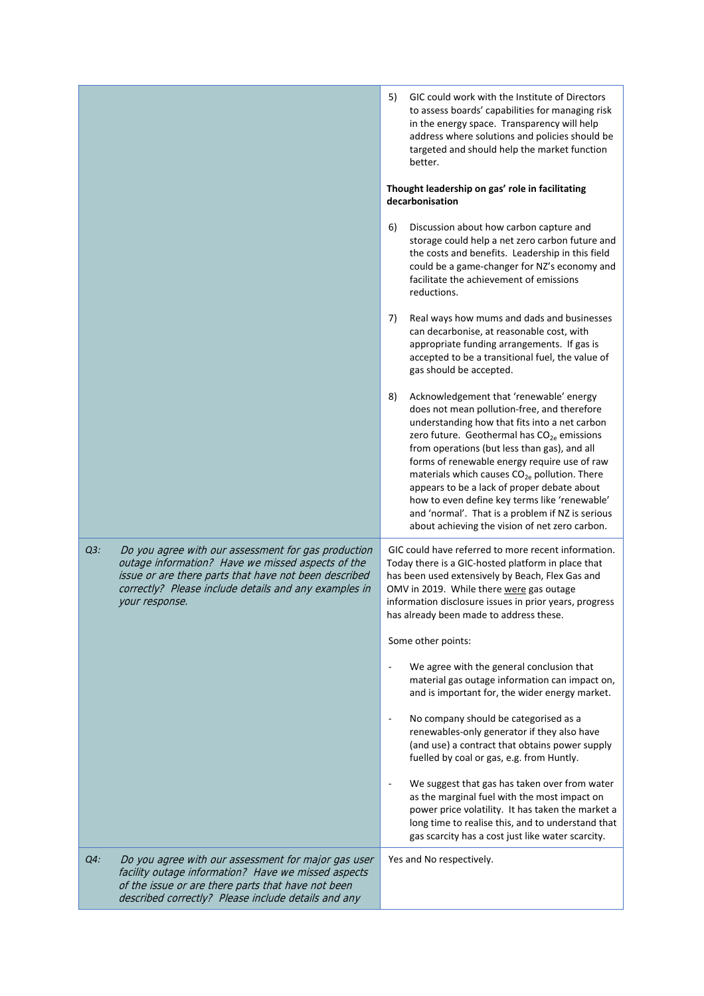|        |                                                                                                                                                                                                                                              | 5)<br>GIC could work with the Institute of Directors<br>to assess boards' capabilities for managing risk<br>in the energy space. Transparency will help<br>address where solutions and policies should be<br>targeted and should help the market function<br>better.<br>Thought leadership on gas' role in facilitating<br>decarbonisation                                                                                                                                                                                                                                |
|--------|----------------------------------------------------------------------------------------------------------------------------------------------------------------------------------------------------------------------------------------------|---------------------------------------------------------------------------------------------------------------------------------------------------------------------------------------------------------------------------------------------------------------------------------------------------------------------------------------------------------------------------------------------------------------------------------------------------------------------------------------------------------------------------------------------------------------------------|
|        |                                                                                                                                                                                                                                              | 6)<br>Discussion about how carbon capture and<br>storage could help a net zero carbon future and<br>the costs and benefits. Leadership in this field<br>could be a game-changer for NZ's economy and<br>facilitate the achievement of emissions<br>reductions.                                                                                                                                                                                                                                                                                                            |
|        |                                                                                                                                                                                                                                              | 7)<br>Real ways how mums and dads and businesses<br>can decarbonise, at reasonable cost, with<br>appropriate funding arrangements. If gas is<br>accepted to be a transitional fuel, the value of<br>gas should be accepted.                                                                                                                                                                                                                                                                                                                                               |
|        |                                                                                                                                                                                                                                              | Acknowledgement that 'renewable' energy<br>8)<br>does not mean pollution-free, and therefore<br>understanding how that fits into a net carbon<br>zero future. Geothermal has CO <sub>2e</sub> emissions<br>from operations (but less than gas), and all<br>forms of renewable energy require use of raw<br>materials which causes CO <sub>2e</sub> pollution. There<br>appears to be a lack of proper debate about<br>how to even define key terms like 'renewable'<br>and 'normal'. That is a problem if NZ is serious<br>about achieving the vision of net zero carbon. |
| $Q3$ : | Do you agree with our assessment for gas production<br>outage information? Have we missed aspects of the<br>issue or are there parts that have not been described<br>correctly? Please include details and any examples in<br>your response. | GIC could have referred to more recent information.<br>Today there is a GIC-hosted platform in place that<br>has been used extensively by Beach, Flex Gas and<br>OMV in 2019. While there were gas outage<br>information disclosure issues in prior years, progress<br>has already been made to address these.<br>Some other points:                                                                                                                                                                                                                                      |
|        |                                                                                                                                                                                                                                              | We agree with the general conclusion that<br>material gas outage information can impact on,<br>and is important for, the wider energy market.                                                                                                                                                                                                                                                                                                                                                                                                                             |
|        |                                                                                                                                                                                                                                              | No company should be categorised as a<br>$\overline{\phantom{a}}$<br>renewables-only generator if they also have<br>(and use) a contract that obtains power supply<br>fuelled by coal or gas, e.g. from Huntly.                                                                                                                                                                                                                                                                                                                                                           |
|        |                                                                                                                                                                                                                                              | We suggest that gas has taken over from water<br>as the marginal fuel with the most impact on<br>power price volatility. It has taken the market a<br>long time to realise this, and to understand that<br>gas scarcity has a cost just like water scarcity.                                                                                                                                                                                                                                                                                                              |
| Q4:    | Do you agree with our assessment for major gas user<br>facility outage information? Have we missed aspects<br>of the issue or are there parts that have not been<br>described correctly? Please include details and any                      | Yes and No respectively.                                                                                                                                                                                                                                                                                                                                                                                                                                                                                                                                                  |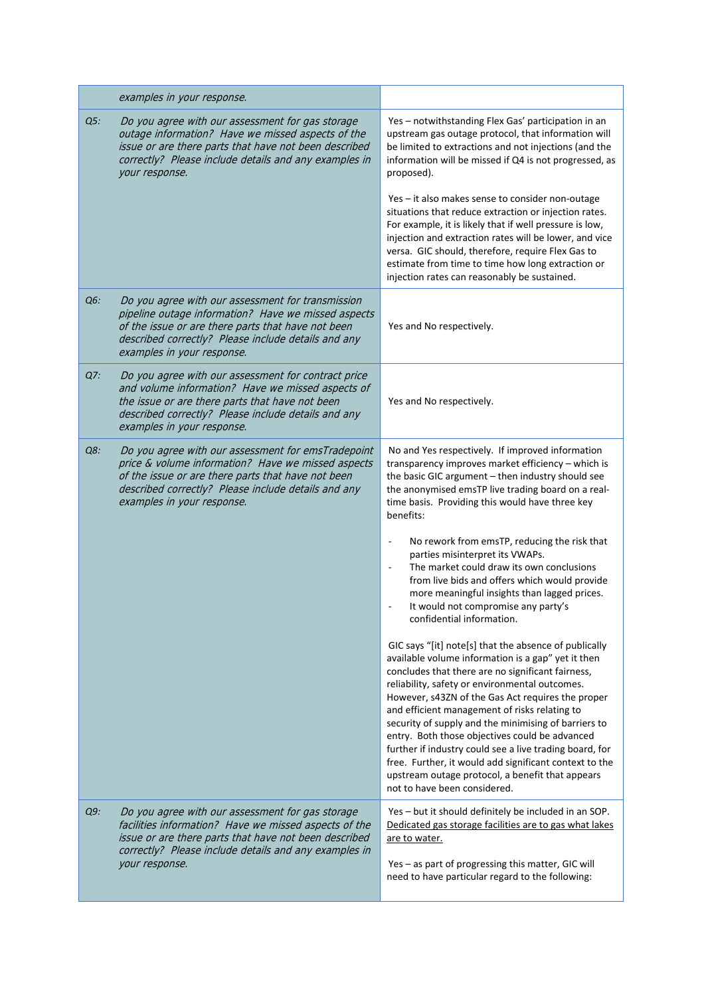|        | examples in your response.                                                                                                                                                                                                                          |                                                                                                                                                                                                                                                                                                                                                                                                                                                                                                                                                                                                                                             |
|--------|-----------------------------------------------------------------------------------------------------------------------------------------------------------------------------------------------------------------------------------------------------|---------------------------------------------------------------------------------------------------------------------------------------------------------------------------------------------------------------------------------------------------------------------------------------------------------------------------------------------------------------------------------------------------------------------------------------------------------------------------------------------------------------------------------------------------------------------------------------------------------------------------------------------|
| Q5:    | Do you agree with our assessment for gas storage<br>outage information? Have we missed aspects of the<br>issue or are there parts that have not been described<br>correctly? Please include details and any examples in<br>your response.           | Yes - notwithstanding Flex Gas' participation in an<br>upstream gas outage protocol, that information will<br>be limited to extractions and not injections (and the<br>information will be missed if Q4 is not progressed, as<br>proposed).                                                                                                                                                                                                                                                                                                                                                                                                 |
|        |                                                                                                                                                                                                                                                     | Yes - it also makes sense to consider non-outage<br>situations that reduce extraction or injection rates.<br>For example, it is likely that if well pressure is low,<br>injection and extraction rates will be lower, and vice<br>versa. GIC should, therefore, require Flex Gas to<br>estimate from time to time how long extraction or<br>injection rates can reasonably be sustained.                                                                                                                                                                                                                                                    |
| Q6:    | Do you agree with our assessment for transmission<br>pipeline outage information? Have we missed aspects<br>of the issue or are there parts that have not been<br>described correctly? Please include details and any<br>examples in your response. | Yes and No respectively.                                                                                                                                                                                                                                                                                                                                                                                                                                                                                                                                                                                                                    |
| Q7:    | Do you agree with our assessment for contract price<br>and volume information? Have we missed aspects of<br>the issue or are there parts that have not been<br>described correctly? Please include details and any<br>examples in your response.    | Yes and No respectively.                                                                                                                                                                                                                                                                                                                                                                                                                                                                                                                                                                                                                    |
| Q8:    | Do you agree with our assessment for emsTradepoint<br>price & volume information? Have we missed aspects<br>of the issue or are there parts that have not been<br>described correctly? Please include details and any<br>examples in your response. | No and Yes respectively. If improved information<br>transparency improves market efficiency - which is<br>the basic GIC argument - then industry should see<br>the anonymised emsTP live trading board on a real-<br>time basis. Providing this would have three key<br>benefits:                                                                                                                                                                                                                                                                                                                                                           |
|        |                                                                                                                                                                                                                                                     | No rework from emsTP, reducing the risk that<br>parties misinterpret its VWAPs.<br>The market could draw its own conclusions<br>from live bids and offers which would provide<br>more meaningful insights than lagged prices.<br>It would not compromise any party's<br>confidential information.                                                                                                                                                                                                                                                                                                                                           |
|        |                                                                                                                                                                                                                                                     | GIC says "[it] note[s] that the absence of publically<br>available volume information is a gap" yet it then<br>concludes that there are no significant fairness,<br>reliability, safety or environmental outcomes.<br>However, s43ZN of the Gas Act requires the proper<br>and efficient management of risks relating to<br>security of supply and the minimising of barriers to<br>entry. Both those objectives could be advanced<br>further if industry could see a live trading board, for<br>free. Further, it would add significant context to the<br>upstream outage protocol, a benefit that appears<br>not to have been considered. |
| $Q9$ : | Do you agree with our assessment for gas storage<br>facilities information? Have we missed aspects of the<br>issue or are there parts that have not been described<br>correctly? Please include details and any examples in<br>your response.       | Yes - but it should definitely be included in an SOP.<br>Dedicated gas storage facilities are to gas what lakes<br>are to water.<br>Yes - as part of progressing this matter, GIC will<br>need to have particular regard to the following:                                                                                                                                                                                                                                                                                                                                                                                                  |